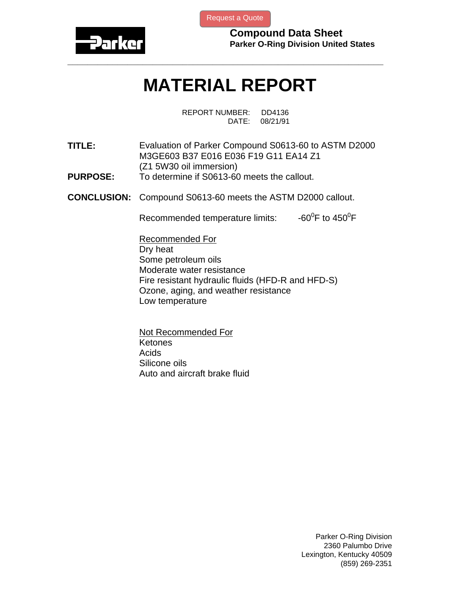

[Request a Quote](http://www.marcorubber.com/contact_quote.htm?material=Parker+S0613-60)

**Compound Data Sheet Parker O-Ring Division United States** 

## **MATERIAL REPORT**

**\_\_\_\_\_\_\_\_\_\_\_\_\_\_\_\_\_\_\_\_\_\_\_\_\_\_\_\_\_\_\_\_\_\_\_\_\_\_\_\_\_\_\_\_\_\_\_\_\_\_\_\_\_\_\_\_\_\_\_\_\_\_\_** 

REPORT NUMBER: DD4136 DATE: 08/21/91

**TITLE:** Evaluation of Parker Compound S0613-60 to ASTM D2000 M3GE603 B37 E016 E036 F19 G11 EA14 Z1 (Z1 5W30 oil immersion) **PURPOSE:** To determine if S0613-60 meets the callout.

**CONCLUSION:** Compound S0613-60 meets the ASTM D2000 callout.

Recommended temperature limits: F to  $450^0$ F

Recommended For Dry heat Some petroleum oils Moderate water resistance Fire resistant hydraulic fluids (HFD-R and HFD-S) Ozone, aging, and weather resistance Low temperature

Not Recommended For Ketones Acids Silicone oils Auto and aircraft brake fluid

> Parker O-Ring Division 2360 Palumbo Drive Lexington, Kentucky 40509 (859) 269-2351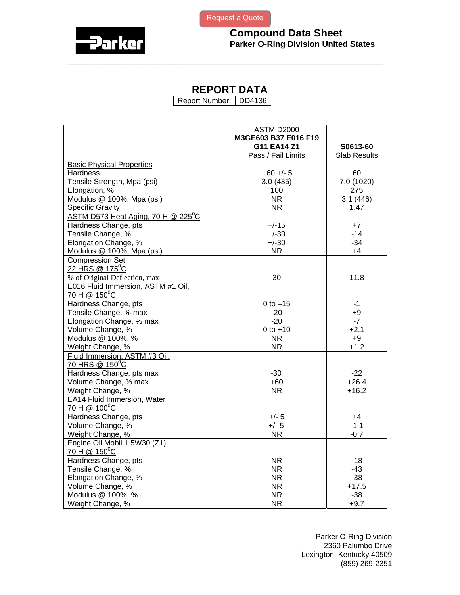



## **REPORT DATA**

**\_\_\_\_\_\_\_\_\_\_\_\_\_\_\_\_\_\_\_\_\_\_\_\_\_\_\_\_\_\_\_\_\_\_\_\_\_\_\_\_\_\_\_\_\_\_\_\_\_\_\_\_\_\_\_\_\_\_\_\_\_\_\_** 

Report Number: DD4136

|                                        | <b>ASTM D2000</b>    |                     |
|----------------------------------------|----------------------|---------------------|
|                                        | M3GE603 B37 E016 F19 |                     |
|                                        | G11 EA14 Z1          | S0613-60            |
|                                        | Pass / Fail Limits   | <b>Slab Results</b> |
| <b>Basic Physical Properties</b>       |                      |                     |
| Hardness                               | $60 +/- 5$           | 60                  |
| Tensile Strength, Mpa (psi)            | 3.0(435)             | 7.0 (1020)          |
| Elongation, %                          | 100                  | 275                 |
| Modulus @ 100%, Mpa (psi)              | <b>NR</b>            | 3.1(446)            |
| <b>Specific Gravity</b>                | NR.                  | 1.47                |
| ASTM D573 Heat Aging, 70 H @ 225 $^0C$ |                      |                     |
| Hardness Change, pts                   | $+/-15$              | $+7$                |
| Tensile Change, %                      | $+/-30$              | $-14$               |
| Elongation Change, %                   | $+/-30$              | $-34$               |
| Modulus @ 100%, Mpa (psi)              | <b>NR</b>            | $+4$                |
| Compression Set,                       |                      |                     |
| 22 HRS @ 175 <sup>°</sup> C            |                      |                     |
| % of Original Deflection, max          | 30                   | 11.8                |
| E016 Fluid Immersion, ASTM #1 Oil,     |                      |                     |
| 70 H @ 150 <sup>°</sup> C              |                      |                     |
| Hardness Change, pts                   | $0$ to $-15$         | $-1$                |
| Tensile Change, % max                  | $-20$                | $+9$                |
| Elongation Change, % max               | $-20$                | $-7$                |
| Volume Change, %                       | $0 to +10$           | $+2.1$              |
| Modulus @ 100%, %                      | <b>NR</b>            | $+9$                |
| Weight Change, %                       | NR.                  | $+1.2$              |
| Fluid Immersion, ASTM #3 Oil,          |                      |                     |
| 70 HRS @ 150°C                         |                      |                     |
| Hardness Change, pts max               | $-30$                | $-22$               |
| Volume Change, % max                   | $+60$                | $+26.4$             |
| Weight Change, %                       | <b>NR</b>            | $+16.2$             |
| <b>EA14 Fluid Immersion, Water</b>     |                      |                     |
| 70 H @ 100°C                           |                      |                     |
| Hardness Change, pts                   | $+/- 5$              | +4                  |
| Volume Change, %                       | $+/- 5$              | $-1.1$              |
| Weight Change, %                       | <b>NR</b>            | $-0.7$              |
| Engine Oil Mobil 1 5W30 (Z1),          |                      |                     |
| 70 H @ 150 <sup>°</sup> C              |                      |                     |
| Hardness Change, pts                   | <b>NR</b>            | $-18$               |
| Tensile Change, %                      | <b>NR</b>            | $-43$               |
| Elongation Change, %                   | <b>NR</b>            | $-38$               |
| Volume Change, %                       | <b>NR</b>            | $+17.5$             |
| Modulus @ 100%, %                      | <b>NR</b>            | $-38$               |
| Weight Change, %                       | <b>NR</b>            | $+9.7$              |

Parker O-Ring Division 2360 Palumbo Drive Lexington, Kentucky 40509 (859) 269-2351